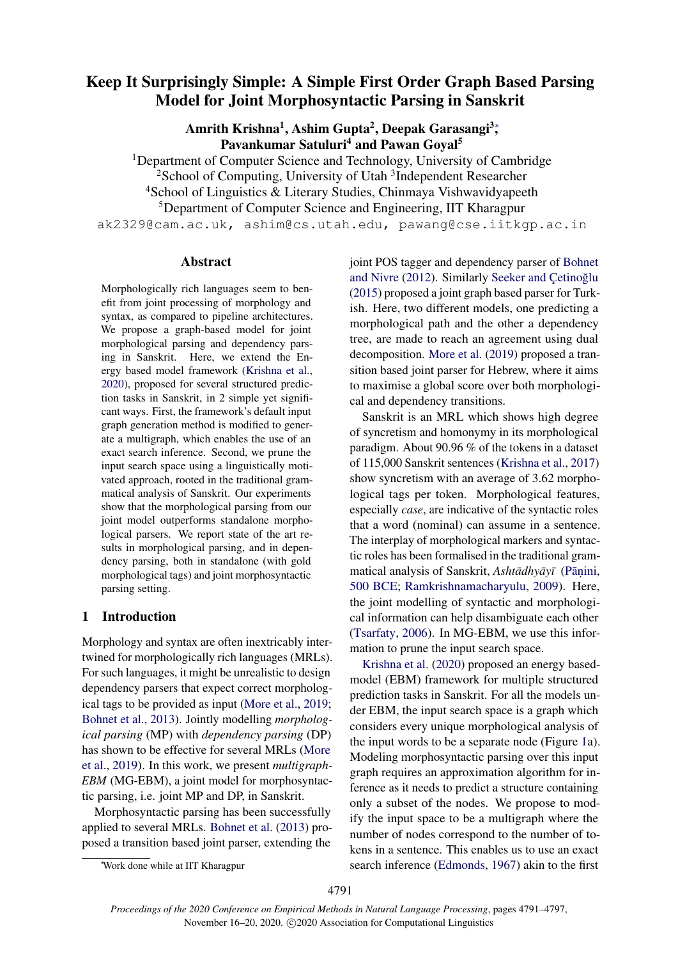# Keep It Surprisingly Simple: A Simple First Order Graph Based Parsing Model for Joint Morphosyntactic Parsing in Sanskrit

Amrith Krishna<sup>1</sup>, Ashim Gupta<sup>2</sup>, Deepak Garasangi<sup>3</sup>; Pavankumar Satuluri<sup>4</sup> and Pawan Goyal<sup>5</sup>

<sup>1</sup>Department of Computer Science and Technology, University of Cambridge <sup>2</sup> School of Computing, University of Utah<sup>3</sup> Independent Researcher <sup>4</sup>School of Linguistics & Literary Studies, Chinmaya Vishwavidyapeeth <sup>5</sup>Department of Computer Science and Engineering, IIT Kharagpur ak2329@cam.ac.uk, ashim@cs.utah.edu, pawang@cse.iitkgp.ac.in

### Abstract

Morphologically rich languages seem to benefit from joint processing of morphology and syntax, as compared to pipeline architectures. We propose a graph-based model for joint morphological parsing and dependency parsing in Sanskrit. Here, we extend the Energy based model framework [\(Krishna et al.,](#page-5-0) [2020\)](#page-5-0), proposed for several structured prediction tasks in Sanskrit, in 2 simple yet significant ways. First, the framework's default input graph generation method is modified to generate a multigraph, which enables the use of an exact search inference. Second, we prune the input search space using a linguistically motivated approach, rooted in the traditional grammatical analysis of Sanskrit. Our experiments show that the morphological parsing from our joint model outperforms standalone morphological parsers. We report state of the art results in morphological parsing, and in dependency parsing, both in standalone (with gold morphological tags) and joint morphosyntactic parsing setting.

# 1 Introduction

Morphology and syntax are often inextricably intertwined for morphologically rich languages (MRLs). For such languages, it might be unrealistic to design dependency parsers that expect correct morphological tags to be provided as input [\(More et al.,](#page-5-1) [2019;](#page-5-1) [Bohnet et al.,](#page-4-0) [2013\)](#page-4-0). Jointly modelling *morphological parsing* (MP) with *dependency parsing* (DP) has shown to be effective for several MRLs [\(More](#page-5-1) [et al.,](#page-5-1) [2019\)](#page-5-1). In this work, we present *multigraph-EBM* (MG-EBM), a joint model for morphosyntactic parsing, i.e. joint MP and DP, in Sanskrit.

Morphosyntactic parsing has been successfully applied to several MRLs. [Bohnet et al.](#page-4-0) [\(2013\)](#page-4-0) proposed a transition based joint parser, extending the

joint POS tagger and dependency parser of [Bohnet](#page-4-1) [and Nivre](#page-4-1) [\(2012\)](#page-4-1). Similarly [Seeker and](#page-6-0) Cetinoğlu [\(2015\)](#page-6-0) proposed a joint graph based parser for Turkish. Here, two different models, one predicting a morphological path and the other a dependency tree, are made to reach an agreement using dual decomposition. [More et al.](#page-5-1) [\(2019\)](#page-5-1) proposed a transition based joint parser for Hebrew, where it aims to maximise a global score over both morphological and dependency transitions.

Sanskrit is an MRL which shows high degree of syncretism and homonymy in its morphological paradigm. About 90.96 % of the tokens in a dataset of 115,000 Sanskrit sentences [\(Krishna et al.,](#page-5-2) [2017\)](#page-5-2) show syncretism with an average of 3.62 morphological tags per token. Morphological features, especially *case*, are indicative of the syntactic roles that a word (nominal) can assume in a sentence. The interplay of morphological markers and syntactic roles has been formalised in the traditional grammatical analysis of Sanskrit, *Ashtādhyāyī* (Pāṇini, [500 BCE;](#page-5-3) [Ramkrishnamacharyulu,](#page-5-4) [2009\)](#page-5-4). Here, the joint modelling of syntactic and morphological information can help disambiguate each other [\(Tsarfaty,](#page-6-1) [2006\)](#page-6-1). In MG-EBM, we use this information to prune the input search space.

[Krishna et al.](#page-5-0) [\(2020\)](#page-5-0) proposed an energy basedmodel (EBM) framework for multiple structured prediction tasks in Sanskrit. For all the models under EBM, the input search space is a graph which considers every unique morphological analysis of the input words to be a separate node (Figure [1a](#page-1-0)). Modeling morphosyntactic parsing over this input graph requires an approximation algorithm for inference as it needs to predict a structure containing only a subset of the nodes. We propose to modify the input space to be a multigraph where the number of nodes correspond to the number of tokens in a sentence. This enables us to use an exact search inference [\(Edmonds,](#page-4-2) [1967\)](#page-4-2) akin to the first

<sup>∗</sup>Work done while at IIT Kharagpur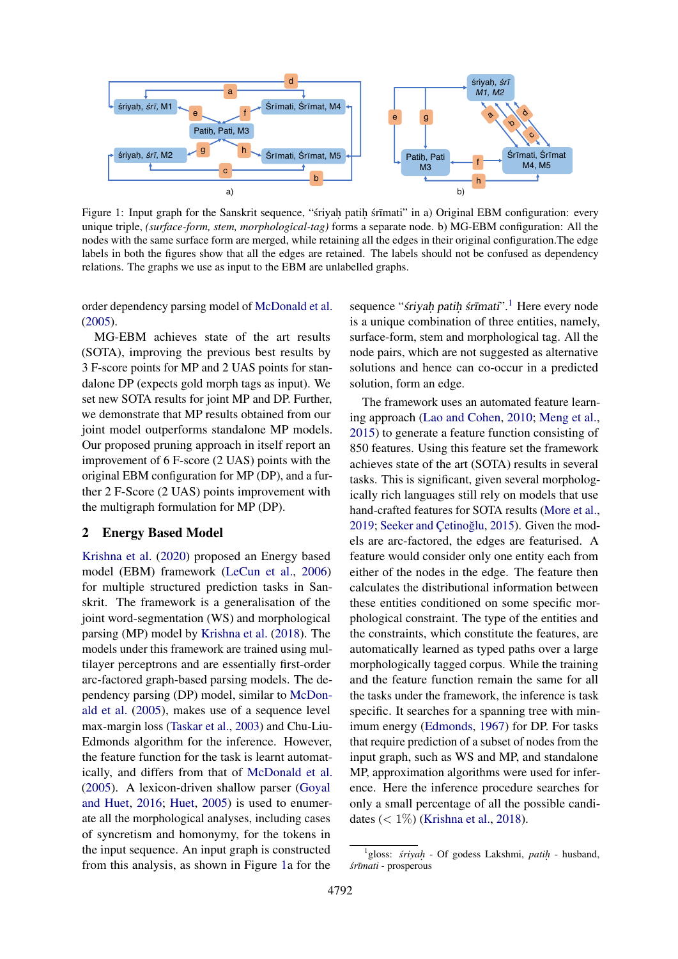<span id="page-1-0"></span>

Figure 1: Input graph for the Sanskrit sequence, "sriyah patih srīmati" in a) Original EBM configuration: every unique triple, *(surface-form, stem, morphological-tag)* forms a separate node. b) MG-EBM configuration: All the nodes with the same surface form are merged, while retaining all the edges in their original configuration.The edge labels in both the figures show that all the edges are retained. The labels should not be confused as dependency relations. The graphs we use as input to the EBM are unlabelled graphs.

order dependency parsing model of [McDonald et al.](#page-5-5) [\(2005\)](#page-5-5).

MG-EBM achieves state of the art results (SOTA), improving the previous best results by 3 F-score points for MP and 2 UAS points for standalone DP (expects gold morph tags as input). We set new SOTA results for joint MP and DP. Further, we demonstrate that MP results obtained from our joint model outperforms standalone MP models. Our proposed pruning approach in itself report an improvement of 6 F-score (2 UAS) points with the original EBM configuration for MP (DP), and a further 2 F-Score (2 UAS) points improvement with the multigraph formulation for MP (DP).

#### 2 Energy Based Model

[Krishna et al.](#page-5-0) [\(2020\)](#page-5-0) proposed an Energy based model (EBM) framework [\(LeCun et al.,](#page-5-6) [2006\)](#page-5-6) for multiple structured prediction tasks in Sanskrit. The framework is a generalisation of the joint word-segmentation (WS) and morphological parsing (MP) model by [Krishna et al.](#page-5-7) [\(2018\)](#page-5-7). The models under this framework are trained using multilayer perceptrons and are essentially first-order arc-factored graph-based parsing models. The dependency parsing (DP) model, similar to [McDon](#page-5-5)[ald et al.](#page-5-5) [\(2005\)](#page-5-5), makes use of a sequence level max-margin loss [\(Taskar et al.,](#page-6-2) [2003\)](#page-6-2) and Chu-Liu-Edmonds algorithm for the inference. However, the feature function for the task is learnt automatically, and differs from that of [McDonald et al.](#page-5-5) [\(2005\)](#page-5-5). A lexicon-driven shallow parser [\(Goyal](#page-4-3) [and Huet,](#page-4-3) [2016;](#page-4-3) [Huet,](#page-5-8) [2005\)](#page-5-8) is used to enumerate all the morphological analyses, including cases of syncretism and homonymy, for the tokens in the input sequence. An input graph is constructed from this analysis, as shown in Figure [1a](#page-1-0) for the

sequence "śriyah patih śrīmati".<sup>[1](#page-1-1)</sup> Here every node is a unique combination of three entities, namely, surface-form, stem and morphological tag. All the node pairs, which are not suggested as alternative solutions and hence can co-occur in a predicted solution, form an edge.

The framework uses an automated feature learning approach [\(Lao and Cohen,](#page-5-9) [2010;](#page-5-9) [Meng et al.,](#page-5-10) [2015\)](#page-5-10) to generate a feature function consisting of 850 features. Using this feature set the framework achieves state of the art (SOTA) results in several tasks. This is significant, given several morphologically rich languages still rely on models that use hand-crafted features for SOTA results [\(More et al.,](#page-5-1) [2019;](#page-5-1) [Seeker and](#page-6-0) Cetinoğlu, [2015\)](#page-6-0). Given the models are arc-factored, the edges are featurised. A feature would consider only one entity each from either of the nodes in the edge. The feature then calculates the distributional information between these entities conditioned on some specific morphological constraint. The type of the entities and the constraints, which constitute the features, are automatically learned as typed paths over a large morphologically tagged corpus. While the training and the feature function remain the same for all the tasks under the framework, the inference is task specific. It searches for a spanning tree with minimum energy [\(Edmonds,](#page-4-2) [1967\)](#page-4-2) for DP. For tasks that require prediction of a subset of nodes from the input graph, such as WS and MP, and standalone MP, approximation algorithms were used for inference. Here the inference procedure searches for only a small percentage of all the possible candidates  $(< 1\%)$  [\(Krishna et al.,](#page-5-7) [2018\)](#page-5-7).

<span id="page-1-1"></span><sup>&</sup>lt;sup>1</sup>gloss: *śriyah* - Of godess Lakshmi, *patih* - husband,  $s$ *rīmati* - prosperous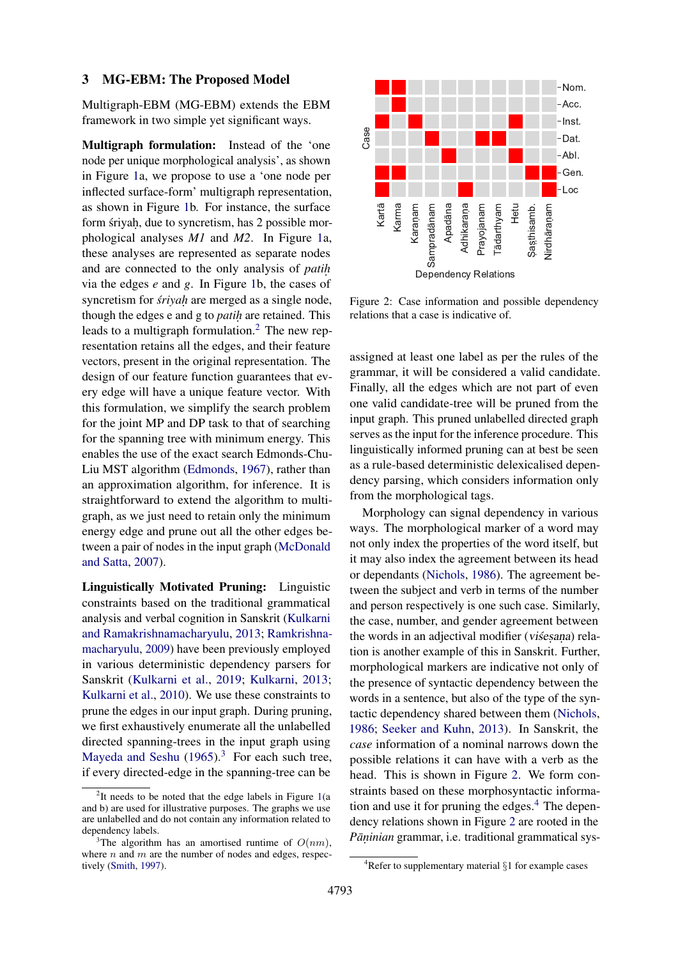#### 3 MG-EBM: The Proposed Model

Multigraph-EBM (MG-EBM) extends the EBM framework in two simple yet significant ways.

Multigraph formulation: Instead of the 'one node per unique morphological analysis', as shown in Figure [1a](#page-1-0), we propose to use a 'one node per inflected surface-form' multigraph representation, as shown in Figure [1b](#page-1-0). For instance, the surface form śriyaḥ, due to syncretism, has 2 possible morphological analyses *M1* and *M2*. In Figure [1a](#page-1-0), these analyses are represented as separate nodes and are connected to the only analysis of *patih.* via the edges *e* and *g*. In Figure [1b](#page-1-0), the cases of syncretism for *śriyah* are merged as a single node, though the edges e and g to *patih.* are retained. This leads to a multigraph formulation.<sup>[2](#page-2-0)</sup> The new representation retains all the edges, and their feature vectors, present in the original representation. The design of our feature function guarantees that every edge will have a unique feature vector. With this formulation, we simplify the search problem for the joint MP and DP task to that of searching for the spanning tree with minimum energy. This enables the use of the exact search Edmonds-Chu-Liu MST algorithm [\(Edmonds,](#page-4-2) [1967\)](#page-4-2), rather than an approximation algorithm, for inference. It is straightforward to extend the algorithm to multigraph, as we just need to retain only the minimum energy edge and prune out all the other edges between a pair of nodes in the input graph [\(McDonald](#page-5-11) [and Satta,](#page-5-11) [2007\)](#page-5-11).

Linguistically Motivated Pruning: Linguistic constraints based on the traditional grammatical analysis and verbal cognition in Sanskrit [\(Kulkarni](#page-5-12) [and Ramakrishnamacharyulu,](#page-5-12) [2013;](#page-5-12) [Ramkrishna](#page-5-4)[macharyulu,](#page-5-4) [2009\)](#page-5-4) have been previously employed in various deterministic dependency parsers for Sanskrit [\(Kulkarni et al.,](#page-5-13) [2019;](#page-5-13) [Kulkarni,](#page-5-14) [2013;](#page-5-14) [Kulkarni et al.,](#page-5-15) [2010\)](#page-5-15). We use these constraints to prune the edges in our input graph. During pruning, we first exhaustively enumerate all the unlabelled directed spanning-trees in the input graph using [Mayeda and Seshu](#page-5-16)  $(1965)^3$  $(1965)^3$  $(1965)^3$ . For each such tree, if every directed-edge in the spanning-tree can be

<span id="page-2-2"></span>

Figure 2: Case information and possible dependency relations that a case is indicative of.

assigned at least one label as per the rules of the grammar, it will be considered a valid candidate. Finally, all the edges which are not part of even one valid candidate-tree will be pruned from the input graph. This pruned unlabelled directed graph serves as the input for the inference procedure. This linguistically informed pruning can at best be seen as a rule-based deterministic delexicalised dependency parsing, which considers information only from the morphological tags.

Morphology can signal dependency in various ways. The morphological marker of a word may not only index the properties of the word itself, but it may also index the agreement between its head or dependants [\(Nichols,](#page-5-17) [1986\)](#page-5-17). The agreement between the subject and verb in terms of the number and person respectively is one such case. Similarly, the case, number, and gender agreement between the words in an adjectival modifier (visesana) relation is another example of this in Sanskrit. Further, morphological markers are indicative not only of the presence of syntactic dependency between the words in a sentence, but also of the type of the syntactic dependency shared between them [\(Nichols,](#page-5-17) [1986;](#page-5-17) [Seeker and Kuhn,](#page-6-4) [2013\)](#page-6-4). In Sanskrit, the *case* information of a nominal narrows down the possible relations it can have with a verb as the head. This is shown in Figure [2.](#page-2-2) We form constraints based on these morphosyntactic information and use it for pruning the edges. $4$  The dependency relations shown in Figure [2](#page-2-2) are rooted in the Pāņinian grammar, i.e. traditional grammatical sys-

<span id="page-2-0"></span><sup>&</sup>lt;sup>2</sup>It needs to be noted that the edge labels in Figure [1\(](#page-1-0)a and b) are used for illustrative purposes. The graphs we use are unlabelled and do not contain any information related to dependency labels.

<span id="page-2-1"></span><sup>&</sup>lt;sup>3</sup>The algorithm has an amortised runtime of  $O(nm)$ , where  $n$  and  $m$  are the number of nodes and edges, respectively [\(Smith,](#page-6-3) [1997\)](#page-6-3).

<span id="page-2-3"></span> $4$ Refer to supplementary material  $\S1$  for example cases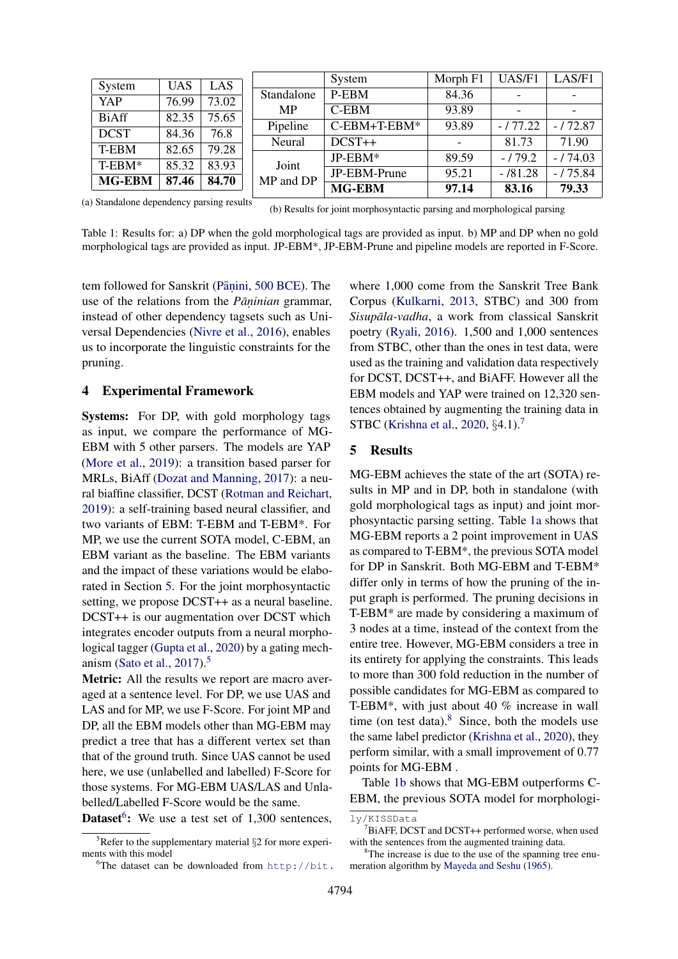<span id="page-3-4"></span>

|               |            |       |                         | System        | Morph F1 | UAS/F1    | LAS/F1    |
|---------------|------------|-------|-------------------------|---------------|----------|-----------|-----------|
| System        | <b>UAS</b> | LAS   |                         |               |          |           |           |
| YAP           | 76.99      | 73.02 | Standalone<br><b>MP</b> | P-EBM         | 84.36    |           |           |
|               |            |       |                         | $C$ -EBM      | 93.89    |           |           |
| <b>BiAff</b>  | 82.35      | 75.65 |                         |               |          |           |           |
| DCST          | 84.36      | 76.8  | Pipeline                | C-EBM+T-EBM*  | 93.89    | $-177.22$ | $-172.87$ |
|               |            |       | Neural                  | $DCST++$      |          | 81.73     | 71.90     |
| T-EBM         | 82.65      | 79.28 |                         |               |          |           |           |
| T-EBM*        | 85.32      | 83.93 | Joint<br>MP and DP      | $JP-EBM*$     | 89.59    | $-179.2$  | $-174.03$ |
|               |            |       |                         | JP-EBM-Prune  | 95.21    | $-181.28$ | $-175.84$ |
| <b>MG-EBM</b> | 87.46      | 84.70 |                         | <b>MG-EBM</b> | 97.14    | 83.16     | 79.33     |
|               |            |       |                         |               |          |           |           |

(a) Standalone dependency parsing results

(b) Results for joint morphosyntactic parsing and morphological parsing

Table 1: Results for: a) DP when the gold morphological tags are provided as input. b) MP and DP when no gold morphological tags are provided as input. JP-EBM\*, JP-EBM-Prune and pipeline models are reported in F-Score.

tem followed for Sanskrit (Pāṇini, [500 BCE\)](#page-5-3). The use of the relations from the *Pāṇinian* grammar, instead of other dependency tagsets such as Universal Dependencies [\(Nivre et al.,](#page-5-18) [2016\)](#page-5-18), enables us to incorporate the linguistic constraints for the pruning.

# 4 Experimental Framework

Systems: For DP, with gold morphology tags as input, we compare the performance of MG-EBM with 5 other parsers. The models are YAP [\(More et al.,](#page-5-1) [2019\)](#page-5-1): a transition based parser for MRLs, BiAff [\(Dozat and Manning,](#page-4-4) [2017\)](#page-4-4): a neural biaffine classifier, DCST [\(Rotman and Reichart,](#page-5-19) [2019\)](#page-5-19): a self-training based neural classifier, and two variants of EBM: T-EBM and T-EBM\*. For MP, we use the current SOTA model, C-EBM, an EBM variant as the baseline. The EBM variants and the impact of these variations would be elaborated in Section [5.](#page-3-0) For the joint morphosyntactic setting, we propose DCST++ as a neural baseline. DCST++ is our augmentation over DCST which integrates encoder outputs from a neural morphological tagger [\(Gupta et al.,](#page-4-5) [2020\)](#page-4-5) by a gating mech-anism [\(Sato et al.,](#page-6-5) [2017\)](#page-6-5).<sup>[5](#page-3-1)</sup>

Metric: All the results we report are macro averaged at a sentence level. For DP, we use UAS and LAS and for MP, we use F-Score. For joint MP and DP, all the EBM models other than MG-EBM may predict a tree that has a different vertex set than that of the ground truth. Since UAS cannot be used here, we use (unlabelled and labelled) F-Score for those systems. For MG-EBM UAS/LAS and Unlabelled/Labelled F-Score would be the same.

**Dataset<sup>[6](#page-3-2)</sup>:** We use a test set of 1,300 sentences,

[where 1,000 come from the Sanskrit Tree Bank](http://bit.ly/KISSData) Corpus [\(Kulkarni,](#page-5-14) [2013, STBC\) and 300 from](http://bit.ly/KISSData) *Sisupāla-vadha*[, a work from classical Sanskrit](http://bit.ly/KISSData) poetry [\(Ryali,](#page-5-20) [2016\). 1,500 and 1,000 sentences](http://bit.ly/KISSData) [from STBC, other than the ones in test data, were](http://bit.ly/KISSData) [used as the training and validation data respectively](http://bit.ly/KISSData) [for DCST, DCST++, and BiAFF. However all the](http://bit.ly/KISSData) [EBM models and YAP were trained on 12,320 sen](http://bit.ly/KISSData)[tences obtained by augmenting the training data in](http://bit.ly/KISSData) [STBC \(Krishna et al.,](http://bit.ly/KISSData) [2020,](#page-5-0) §4.1).<sup>[7](#page-3-3)</sup>

### <span id="page-3-0"></span>[5 Results](http://bit.ly/KISSData)

[MG-EBM achieves the state of the art \(SOTA\) re](http://bit.ly/KISSData)[sults in MP and in DP, both in standalone \(with](http://bit.ly/KISSData) [gold morphological tags as input\) and joint mor](http://bit.ly/KISSData)[phosyntactic parsing setting. Table](http://bit.ly/KISSData) [1a](#page-3-4) shows that [MG-EBM reports a 2 point improvement in UAS](http://bit.ly/KISSData) [as compared to T-EBM\\*, the previous SOTA model](http://bit.ly/KISSData) [for DP in Sanskrit. Both MG-EBM and T-EBM\\*](http://bit.ly/KISSData) [differ only in terms of how the pruning of the in](http://bit.ly/KISSData)[put graph is performed. The pruning decisions in](http://bit.ly/KISSData) [T-EBM\\* are made by considering a maximum of](http://bit.ly/KISSData) [3 nodes at a time, instead of the context from the](http://bit.ly/KISSData) [entire tree. However, MG-EBM considers a tree in](http://bit.ly/KISSData) [its entirety for applying the constraints. This leads](http://bit.ly/KISSData) [to more than 300 fold reduction in the number of](http://bit.ly/KISSData) [possible candidates for MG-EBM as compared to](http://bit.ly/KISSData) [T-EBM\\*, with just about 40 % increase in wall](http://bit.ly/KISSData) time (on test data). $8$  [Since, both the models use](http://bit.ly/KISSData) [the same label predictor \(Krishna et al.,](http://bit.ly/KISSData) [2020\)](#page-5-0), they [perform similar, with a small improvement of 0.77](http://bit.ly/KISSData) [points for MG-EBM .](http://bit.ly/KISSData)

Table [1b](#page-3-4) [shows that MG-EBM outperforms C-](http://bit.ly/KISSData)[EBM, the previous SOTA model for morphologi-](http://bit.ly/KISSData)

<span id="page-3-1"></span> ${}^{5}$ Refer to the supplementary material  $\S$ 2 for more experiments with this model

<span id="page-3-2"></span> ${}^{6}$ The dataset can be downloaded from [http://bit.](http://bit.ly/KISSData)

[ly/KISSData](http://bit.ly/KISSData)

<span id="page-3-3"></span> $7Bi$ AFF, DCST and DCST++ performed worse, when used with the sentences from the augmented training data.

<span id="page-3-5"></span><sup>&</sup>lt;sup>8</sup>The increase is due to the use of the spanning tree enumeration algorithm by [Mayeda and Seshu](#page-5-16) [\(1965\)](#page-5-16).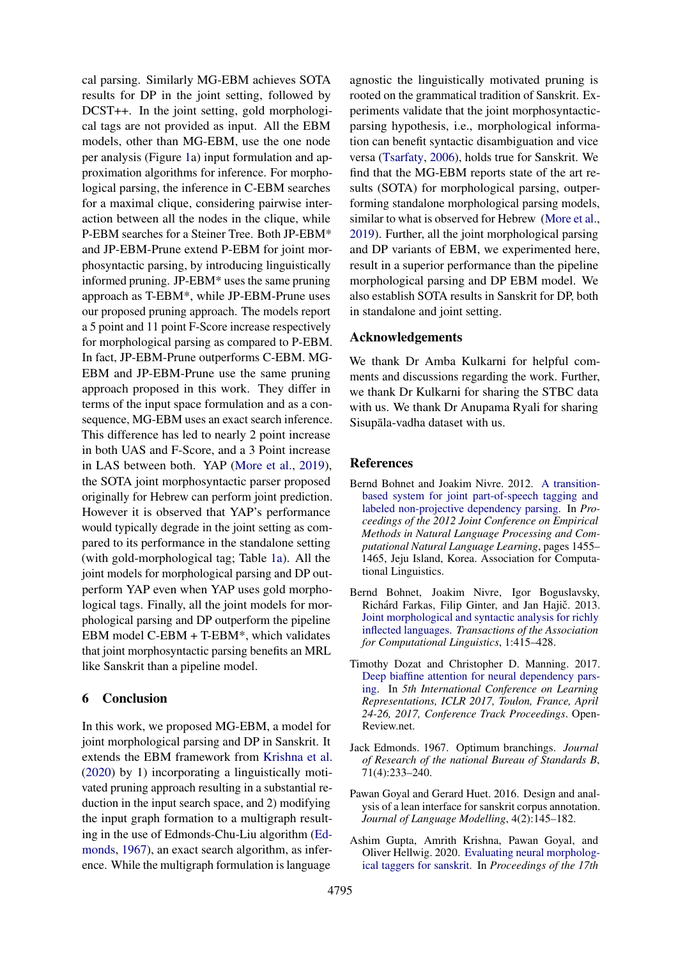cal parsing. Similarly MG-EBM achieves SOTA results for DP in the joint setting, followed by DCST++. In the joint setting, gold morphological tags are not provided as input. All the EBM models, other than MG-EBM, use the one node per analysis (Figure [1a](#page-1-0)) input formulation and approximation algorithms for inference. For morphological parsing, the inference in C-EBM searches for a maximal clique, considering pairwise interaction between all the nodes in the clique, while P-EBM searches for a Steiner Tree. Both JP-EBM\* and JP-EBM-Prune extend P-EBM for joint morphosyntactic parsing, by introducing linguistically informed pruning. JP-EBM\* uses the same pruning approach as T-EBM\*, while JP-EBM-Prune uses our proposed pruning approach. The models report a 5 point and 11 point F-Score increase respectively for morphological parsing as compared to P-EBM. In fact, JP-EBM-Prune outperforms C-EBM. MG-EBM and JP-EBM-Prune use the same pruning approach proposed in this work. They differ in terms of the input space formulation and as a consequence, MG-EBM uses an exact search inference. This difference has led to nearly 2 point increase in both UAS and F-Score, and a 3 Point increase in LAS between both. YAP [\(More et al.,](#page-5-1) [2019\)](#page-5-1), the SOTA joint morphosyntactic parser proposed originally for Hebrew can perform joint prediction. However it is observed that YAP's performance would typically degrade in the joint setting as compared to its performance in the standalone setting (with gold-morphological tag; Table [1a\)](#page-3-4). All the joint models for morphological parsing and DP outperform YAP even when YAP uses gold morphological tags. Finally, all the joint models for morphological parsing and DP outperform the pipeline EBM model C-EBM + T-EBM\*, which validates that joint morphosyntactic parsing benefits an MRL like Sanskrit than a pipeline model.

# 6 Conclusion

In this work, we proposed MG-EBM, a model for joint morphological parsing and DP in Sanskrit. It extends the EBM framework from [Krishna et al.](#page-5-0) [\(2020\)](#page-5-0) by 1) incorporating a linguistically motivated pruning approach resulting in a substantial reduction in the input search space, and 2) modifying the input graph formation to a multigraph resulting in the use of Edmonds-Chu-Liu algorithm [\(Ed](#page-4-2)[monds,](#page-4-2) [1967\)](#page-4-2), an exact search algorithm, as inference. While the multigraph formulation is language

agnostic the linguistically motivated pruning is rooted on the grammatical tradition of Sanskrit. Experiments validate that the joint morphosyntacticparsing hypothesis, i.e., morphological information can benefit syntactic disambiguation and vice versa [\(Tsarfaty,](#page-6-1) [2006\)](#page-6-1), holds true for Sanskrit. We find that the MG-EBM reports state of the art results (SOTA) for morphological parsing, outperforming standalone morphological parsing models, similar to what is observed for Hebrew [\(More et al.,](#page-5-1) [2019\)](#page-5-1). Further, all the joint morphological parsing and DP variants of EBM, we experimented here, result in a superior performance than the pipeline morphological parsing and DP EBM model. We also establish SOTA results in Sanskrit for DP, both in standalone and joint setting.

## Acknowledgements

We thank Dr Amba Kulkarni for helpful comments and discussions regarding the work. Further, we thank Dr Kulkarni for sharing the STBC data with us. We thank Dr Anupama Ryali for sharing Sisupala-vadha dataset with us.

## **References**

- <span id="page-4-1"></span>Bernd Bohnet and Joakim Nivre. 2012. [A transition](https://www.aclweb.org/anthology/D12-1133)[based system for joint part-of-speech tagging and](https://www.aclweb.org/anthology/D12-1133) [labeled non-projective dependency parsing.](https://www.aclweb.org/anthology/D12-1133) In *Proceedings of the 2012 Joint Conference on Empirical Methods in Natural Language Processing and Computational Natural Language Learning*, pages 1455– 1465, Jeju Island, Korea. Association for Computational Linguistics.
- <span id="page-4-0"></span>Bernd Bohnet, Joakim Nivre, Igor Boguslavsky, Richárd Farkas, Filip Ginter, and Jan Hajič. 2013. [Joint morphological and syntactic analysis for richly](https://doi.org/10.1162/tacl_a_00238) [inflected languages.](https://doi.org/10.1162/tacl_a_00238) *Transactions of the Association for Computational Linguistics*, 1:415–428.
- <span id="page-4-4"></span>Timothy Dozat and Christopher D. Manning. 2017. [Deep biaffine attention for neural dependency pars](https://openreview.net/forum?id=Hk95PK9le)[ing.](https://openreview.net/forum?id=Hk95PK9le) In *5th International Conference on Learning Representations, ICLR 2017, Toulon, France, April 24-26, 2017, Conference Track Proceedings*. Open-Review.net.
- <span id="page-4-2"></span>Jack Edmonds. 1967. Optimum branchings. *Journal of Research of the national Bureau of Standards B*, 71(4):233–240.
- <span id="page-4-3"></span>Pawan Goyal and Gerard Huet. 2016. Design and analysis of a lean interface for sanskrit corpus annotation. *Journal of Language Modelling*, 4(2):145–182.
- <span id="page-4-5"></span>Ashim Gupta, Amrith Krishna, Pawan Goyal, and Oliver Hellwig. 2020. [Evaluating neural morpholog](https://arxiv.org/abs/2005.10893)[ical taggers for sanskrit.](https://arxiv.org/abs/2005.10893) In *Proceedings of the 17th*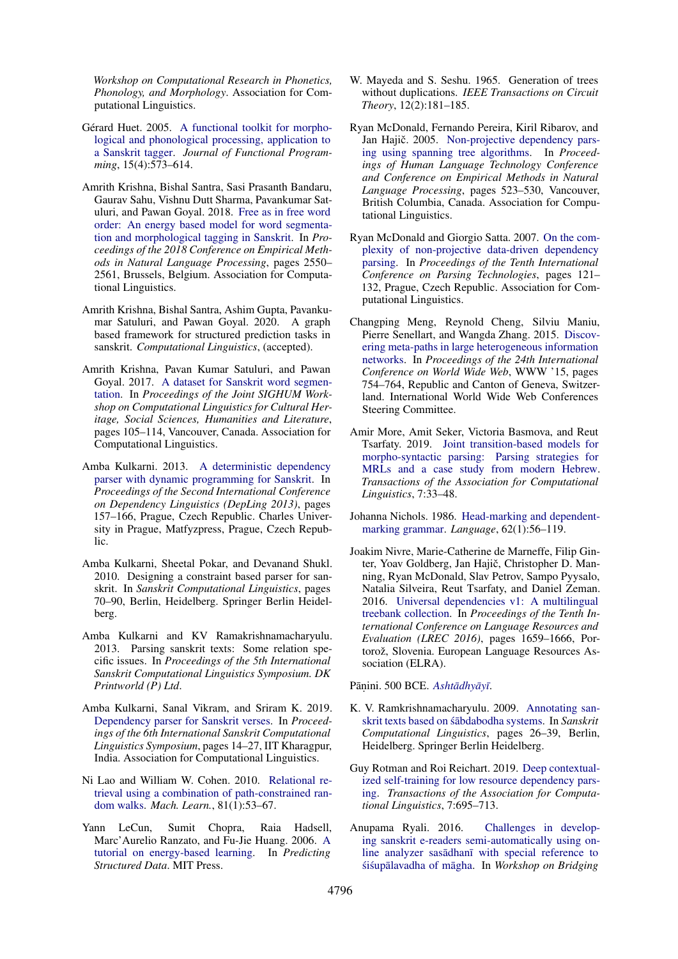*Workshop on Computational Research in Phonetics, Phonology, and Morphology*. Association for Computational Linguistics.

- <span id="page-5-8"></span>Gérard Huet. 2005. [A functional toolkit for morpho](http://gallium.inria.fr/~huet/PUBLIC/tagger.pdf)[logical and phonological processing, application to](http://gallium.inria.fr/~huet/PUBLIC/tagger.pdf) [a Sanskrit tagger.](http://gallium.inria.fr/~huet/PUBLIC/tagger.pdf) *Journal of Functional Programming*, 15(4):573–614.
- <span id="page-5-7"></span>Amrith Krishna, Bishal Santra, Sasi Prasanth Bandaru, Gaurav Sahu, Vishnu Dutt Sharma, Pavankumar Satuluri, and Pawan Goyal. 2018. [Free as in free word](https://doi.org/10.18653/v1/D18-1276) [order: An energy based model for word segmenta](https://doi.org/10.18653/v1/D18-1276)[tion and morphological tagging in Sanskrit.](https://doi.org/10.18653/v1/D18-1276) In *Proceedings of the 2018 Conference on Empirical Methods in Natural Language Processing*, pages 2550– 2561, Brussels, Belgium. Association for Computational Linguistics.
- <span id="page-5-0"></span>Amrith Krishna, Bishal Santra, Ashim Gupta, Pavankumar Satuluri, and Pawan Goyal. 2020. A graph based framework for structured prediction tasks in sanskrit. *Computational Linguistics*, (accepted).
- <span id="page-5-2"></span>Amrith Krishna, Pavan Kumar Satuluri, and Pawan Goyal. 2017. [A dataset for Sanskrit word segmen](https://doi.org/10.18653/v1/W17-2214)[tation.](https://doi.org/10.18653/v1/W17-2214) In *Proceedings of the Joint SIGHUM Workshop on Computational Linguistics for Cultural Heritage, Social Sciences, Humanities and Literature*, pages 105–114, Vancouver, Canada. Association for Computational Linguistics.
- <span id="page-5-14"></span>Amba Kulkarni. 2013. [A deterministic dependency](https://www.aclweb.org/anthology/W13-3718) [parser with dynamic programming for Sanskrit.](https://www.aclweb.org/anthology/W13-3718) In *Proceedings of the Second International Conference on Dependency Linguistics (DepLing 2013)*, pages 157–166, Prague, Czech Republic. Charles University in Prague, Matfyzpress, Prague, Czech Republic.
- <span id="page-5-15"></span>Amba Kulkarni, Sheetal Pokar, and Devanand Shukl. 2010. Designing a constraint based parser for sanskrit. In *Sanskrit Computational Linguistics*, pages 70–90, Berlin, Heidelberg. Springer Berlin Heidelberg.
- <span id="page-5-12"></span>Amba Kulkarni and KV Ramakrishnamacharyulu. 2013. Parsing sanskrit texts: Some relation specific issues. In *Proceedings of the 5th International Sanskrit Computational Linguistics Symposium. DK Printworld (P) Ltd*.
- <span id="page-5-13"></span>Amba Kulkarni, Sanal Vikram, and Sriram K. 2019. [Dependency parser for Sanskrit verses.](https://www.aclweb.org/anthology/W19-7502) In *Proceedings of the 6th International Sanskrit Computational Linguistics Symposium*, pages 14–27, IIT Kharagpur, India. Association for Computational Linguistics.
- <span id="page-5-9"></span>Ni Lao and William W. Cohen. 2010. [Relational re](https://doi.org/10.1007/s10994-010-5205-8)[trieval using a combination of path-constrained ran](https://doi.org/10.1007/s10994-010-5205-8)[dom walks.](https://doi.org/10.1007/s10994-010-5205-8) *Mach. Learn.*, 81(1):53–67.
- <span id="page-5-6"></span>Yann LeCun, Sumit Chopra, Raia Hadsell, Marc'Aurelio Ranzato, and Fu-Jie Huang. 2006. [A](http://yann.lecun.com/exdb/publis/pdf/lecun-06.pdf) [tutorial on energy-based learning.](http://yann.lecun.com/exdb/publis/pdf/lecun-06.pdf) In *Predicting Structured Data*. MIT Press.
- <span id="page-5-16"></span>W. Mayeda and S. Seshu. 1965. Generation of trees without duplications. *IEEE Transactions on Circuit Theory*, 12(2):181–185.
- <span id="page-5-5"></span>Ryan McDonald, Fernando Pereira, Kiril Ribarov, and Jan Hajič. 2005. [Non-projective dependency pars](https://www.aclweb.org/anthology/H05-1066)[ing using spanning tree algorithms.](https://www.aclweb.org/anthology/H05-1066) In *Proceedings of Human Language Technology Conference and Conference on Empirical Methods in Natural Language Processing*, pages 523–530, Vancouver, British Columbia, Canada. Association for Computational Linguistics.
- <span id="page-5-11"></span>Ryan McDonald and Giorgio Satta. 2007. [On the com](https://www.aclweb.org/anthology/W07-2216)[plexity of non-projective data-driven dependency](https://www.aclweb.org/anthology/W07-2216) [parsing.](https://www.aclweb.org/anthology/W07-2216) In *Proceedings of the Tenth International Conference on Parsing Technologies*, pages 121– 132, Prague, Czech Republic. Association for Computational Linguistics.
- <span id="page-5-10"></span>Changping Meng, Reynold Cheng, Silviu Maniu, Pierre Senellart, and Wangda Zhang. 2015. [Discov](https://doi.org/10.1145/2736277.2741123)[ering meta-paths in large heterogeneous information](https://doi.org/10.1145/2736277.2741123) [networks.](https://doi.org/10.1145/2736277.2741123) In *Proceedings of the 24th International Conference on World Wide Web*, WWW '15, pages 754–764, Republic and Canton of Geneva, Switzerland. International World Wide Web Conferences Steering Committee.
- <span id="page-5-1"></span>Amir More, Amit Seker, Victoria Basmova, and Reut Tsarfaty. 2019. [Joint transition-based models for](https://doi.org/10.1162/tacl_a_00253) [morpho-syntactic parsing: Parsing strategies for](https://doi.org/10.1162/tacl_a_00253) [MRLs and a case study from modern Hebrew.](https://doi.org/10.1162/tacl_a_00253) *Transactions of the Association for Computational Linguistics*, 7:33–48.
- <span id="page-5-17"></span>Johanna Nichols. 1986. [Head-marking and dependent](http://www.jstor.org/stable/415601)[marking grammar.](http://www.jstor.org/stable/415601) *Language*, 62(1):56–119.
- <span id="page-5-18"></span>Joakim Nivre, Marie-Catherine de Marneffe, Filip Ginter, Yoav Goldberg, Jan Hajič, Christopher D. Manning, Ryan McDonald, Slav Petrov, Sampo Pyysalo, Natalia Silveira, Reut Tsarfaty, and Daniel Zeman. 2016. [Universal dependencies v1: A multilingual](https://www.aclweb.org/anthology/L16-1262) [treebank collection.](https://www.aclweb.org/anthology/L16-1262) In *Proceedings of the Tenth International Conference on Language Resources and Evaluation (LREC 2016)*, pages 1659–1666, Portorož, Slovenia. European Language Resources Association (ELRA).

<span id="page-5-3"></span>Pāṇini. 500 BCE. Ashtādhyāyī.

- <span id="page-5-4"></span>K. V. Ramkrishnamacharyulu. 2009. [Annotating san](https://dl.acm.org/doi/abs/10.1007/978-3-540-93885-9_3)skrit texts based on śābdabodha systems. In *Sanskrit Computational Linguistics*, pages 26–39, Berlin, Heidelberg. Springer Berlin Heidelberg.
- <span id="page-5-19"></span>Guy Rotman and Roi Reichart. 2019. [Deep contextual](https://www.mitpressjournals.org/doi/full/10.1162/tacl_a_00294)[ized self-training for low resource dependency pars](https://www.mitpressjournals.org/doi/full/10.1162/tacl_a_00294)[ing.](https://www.mitpressjournals.org/doi/full/10.1162/tacl_a_00294) *Transactions of the Association for Computational Linguistics*, 7:695–713.
- <span id="page-5-20"></span>Anupama Ryali. 2016. [Challenges in develop](http://cse.iitkgp.ac.in/resgrp/cnerg/sclws/papers/ryali.pdf)[ing sanskrit e-readers semi-automatically using on](http://cse.iitkgp.ac.in/resgrp/cnerg/sclws/papers/ryali.pdf)line analyzer sasadhanī with special reference to śiśupālavadha of māgha. In Workshop on Bridging